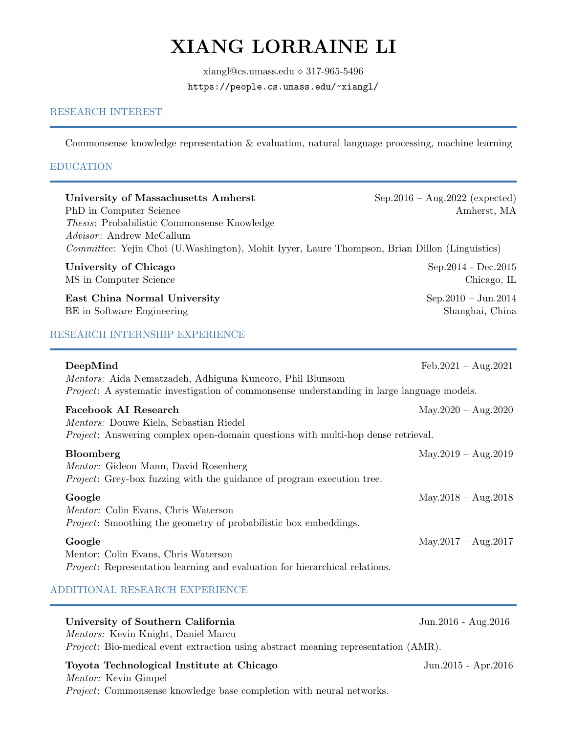# XIANG LORRAINE LI

xiangl@cs.umass.edu ⋄ 317-965-5496 <https://people.cs.umass.edu/~xiangl/>

## RESEARCH INTEREST

Commonsense knowledge representation & evaluation, natural language processing, machine learning

#### EDUCATION

 $\overline{a}$ 

÷

| <b>University of Massachusetts Amherst</b><br>PhD in Computer Science<br>Thesis: Probabilistic Commonsense Knowledge<br>Advisor: Andrew McCallum                           | Sep.2016 - Aug.2022 (expected)<br>Amherst, MA |
|----------------------------------------------------------------------------------------------------------------------------------------------------------------------------|-----------------------------------------------|
| Committee: Yejin Choi (U.Washington), Mohit Iyyer, Laure Thompson, Brian Dillon (Linguistics)                                                                              |                                               |
| University of Chicago<br>MS in Computer Science                                                                                                                            | Sep. 2014 - Dec. 2015<br>Chicago, IL          |
| East China Normal University<br>BE in Software Engineering                                                                                                                 | Sep.2010 - Jun.2014<br>Shanghai, China        |
| RESEARCH INTERNSHIP EXPERIENCE                                                                                                                                             |                                               |
| DeepMind<br>Mentors: Aida Nematzadeh, Adhiguna Kuncoro, Phil Blunsom<br><i>Project</i> : A systematic investigation of commonsense understanding in large language models. | $Feb.2021 - Aug.2021$                         |
| <b>Facebook AI Research</b><br>Mentors: Douwe Kiela, Sebastian Riedel<br><i>Project:</i> Answering complex open-domain questions with multi-hop dense retrieval.           | $May.2020 - Aug.2020$                         |
| Bloomberg<br>Mentor: Gideon Mann, David Rosenberg<br><i>Project:</i> Grey-box fuzzing with the guidance of program execution tree.                                         | $May.2019 - Aug.2019$                         |
| Google<br>Mentor: Colin Evans, Chris Waterson<br><i>Project:</i> Smoothing the geometry of probabilistic box embeddings.                                                   | $May.2018 - Aug.2018$                         |
| Google<br>Mentor: Colin Evans, Chris Waterson<br><i>Project:</i> Representation learning and evaluation for hierarchical relations.                                        | $May.2017 - Aug.2017$                         |
| ADDITIONAL RESEARCH EXPERIENCE                                                                                                                                             |                                               |
| University of Southern California<br>Mentors: Kevin Knight, Daniel Marcu<br><i>Project</i> : Bio-medical event extraction using abstract meaning representation (AMR).     | Jun.2016 - Aug.2016                           |

Toyota Technological Institute at Chicago Jun.2015 - Apr.2016 Mentor: Kevin Gimpel Project: Commonsense knowledge base completion with neural networks.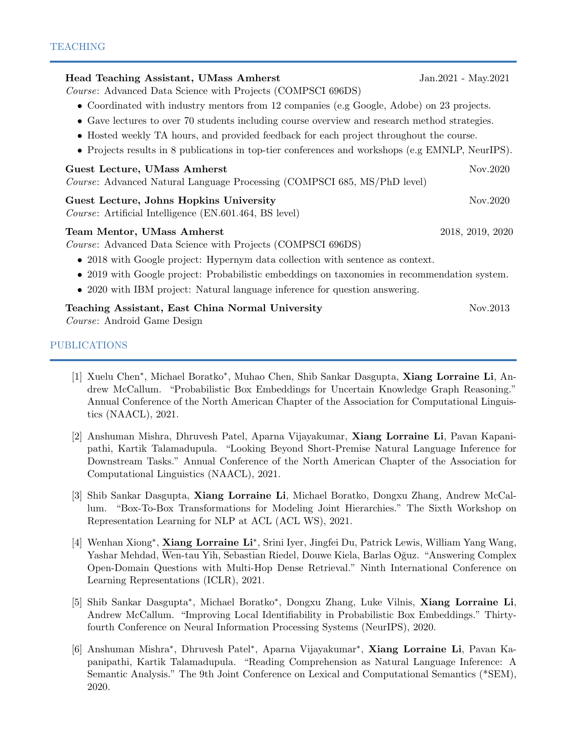| Head Teaching Assistant, UMass Amherst                                                                                                                                      | Jan. 2021 - May. 2021 |
|-----------------------------------------------------------------------------------------------------------------------------------------------------------------------------|-----------------------|
| <i>Course:</i> Advanced Data Science with Projects (COMPSCI 696DS)                                                                                                          |                       |
| • Coordinated with industry mentors from 12 companies (e.g Google, Adobe) on 23 projects.                                                                                   |                       |
| • Gave lectures to over 70 students including course overview and research method strategies.                                                                               |                       |
| • Hosted weekly TA hours, and provided feedback for each project throughout the course.                                                                                     |                       |
| • Projects results in 8 publications in top-tier conferences and workshops (e.g EMNLP, NeurIPS).                                                                            |                       |
| Guest Lecture, UMass Amherst<br>Course: Advanced Natural Language Processing (COMPSCI 685, MS/PhD level)                                                                    | Nov.2020              |
| Guest Lecture, Johns Hopkins University<br>Course: Artificial Intelligence (EN.601.464, BS level)                                                                           | Nov.2020              |
| Team Mentor, UMass Amherst<br><i>Course:</i> Advanced Data Science with Projects (COMPSCI 696DS)                                                                            | 2018, 2019, 2020      |
| • 2018 with Google project: Hypernym data collection with sentence as context.                                                                                              |                       |
| • 2019 with Google project: Probabilistic embeddings on taxonomies in recommendation system.<br>• 2020 with IBM project: Natural language inference for question answering. |                       |
| Teaching Assistant, East China Normal University<br>Course: Android Game Design                                                                                             | Nov.2013              |
| <b>PUBLICATIONS</b>                                                                                                                                                         |                       |

- [1] Xuelu Chen<sup>\*</sup>, Michael Boratko<sup>\*</sup>, Muhao Chen, Shib Sankar Dasgupta, Xiang Lorraine Li, Andrew McCallum. "Probabilistic Box Embeddings for Uncertain Knowledge Graph Reasoning." Annual Conference of the North American Chapter of the Association for Computational Linguistics (NAACL), 2021.
- [2] Anshuman Mishra, Dhruvesh Patel, Aparna Vijayakumar, Xiang Lorraine Li, Pavan Kapanipathi, Kartik Talamadupula. "Looking Beyond Short-Premise Natural Language Inference for Downstream Tasks." Annual Conference of the North American Chapter of the Association for Computational Linguistics (NAACL), 2021.
- [3] Shib Sankar Dasgupta, Xiang Lorraine Li, Michael Boratko, Dongxu Zhang, Andrew McCallum. "Box-To-Box Transformations for Modeling Joint Hierarchies." The Sixth Workshop on Representation Learning for NLP at ACL (ACL WS), 2021.
- [4] Wenhan Xiong\*, Xiang Lorraine Li\*, Srini Iyer, Jingfei Du, Patrick Lewis, William Yang Wang, Yashar Mehdad, Wen-tau Yih, Sebastian Riedel, Douwe Kiela, Barlas O˘guz. "Answering Complex Open-Domain Questions with Multi-Hop Dense Retrieval." Ninth International Conference on Learning Representations (ICLR), 2021.
- [5] Shib Sankar Dasgupta<sup>∗</sup> , Michael Boratko<sup>∗</sup> , Dongxu Zhang, Luke Vilnis, Xiang Lorraine Li, Andrew McCallum. "Improving Local Identifiability in Probabilistic Box Embeddings." Thirtyfourth Conference on Neural Information Processing Systems (NeurIPS), 2020.
- [6] Anshuman Mishra<sup>∗</sup> , Dhruvesh Patel<sup>∗</sup> , Aparna Vijayakumar<sup>∗</sup> , Xiang Lorraine Li, Pavan Kapanipathi, Kartik Talamadupula. "Reading Comprehension as Natural Language Inference: A Semantic Analysis." The 9th Joint Conference on Lexical and Computational Semantics (\*SEM), 2020.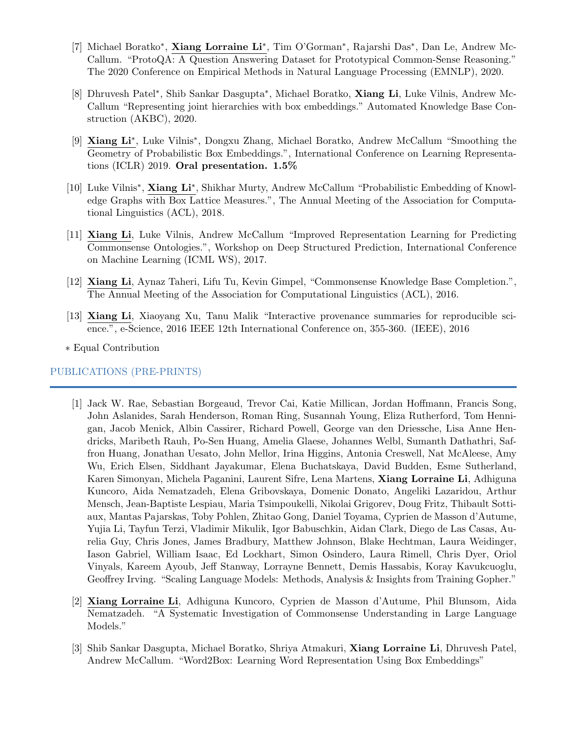- [7] Michael Boratko\*, Xiang Lorraine Li\*, Tim O'Gorman\*, Rajarshi Das\*, Dan Le, Andrew Mc-Callum. "ProtoQA: A Question Answering Dataset for Prototypical Common-Sense Reasoning." The 2020 Conference on Empirical Methods in Natural Language Processing (EMNLP), 2020.
- [8] Dhruvesh Patel<sup>\*</sup>, Shib Sankar Dasgupta<sup>\*</sup>, Michael Boratko, Xiang Li, Luke Vilnis, Andrew Mc-Callum "Representing joint hierarchies with box embeddings." Automated Knowledge Base Construction (AKBC), 2020.
- [9] Xiang Li<sup>\*</sup>, Luke Vilnis<sup>\*</sup>, Dongxu Zhang, Michael Boratko, Andrew McCallum "Smoothing the Geometry of Probabilistic Box Embeddings.", International Conference on Learning Representations (ICLR) 2019. Oral presentation. 1.5%
- [10] Luke Vilnis<sup>\*</sup>, Xiang Li<sup>\*</sup>, Shikhar Murty, Andrew McCallum "Probabilistic Embedding of Knowledge Graphs with Box Lattice Measures.", The Annual Meeting of the Association for Computational Linguistics (ACL), 2018.
- [11] Xiang Li, Luke Vilnis, Andrew McCallum "Improved Representation Learning for Predicting Commonsense Ontologies.", Workshop on Deep Structured Prediction, International Conference on Machine Learning (ICML WS), 2017.
- [12] Xiang Li, Aynaz Taheri, Lifu Tu, Kevin Gimpel, "Commonsense Knowledge Base Completion.", The Annual Meeting of the Association for Computational Linguistics (ACL), 2016.
- [13] Xiang Li, Xiaoyang Xu, Tanu Malik "Interactive provenance summaries for reproducible science.", e-Science, 2016 IEEE 12th International Conference on, 355-360. (IEEE), 2016
- ∗ Equal Contribution

## PUBLICATIONS (PRE-PRINTS)

- [1] Jack W. Rae, Sebastian Borgeaud, Trevor Cai, Katie Millican, Jordan Hoffmann, Francis Song, John Aslanides, Sarah Henderson, Roman Ring, Susannah Young, Eliza Rutherford, Tom Hennigan, Jacob Menick, Albin Cassirer, Richard Powell, George van den Driessche, Lisa Anne Hendricks, Maribeth Rauh, Po-Sen Huang, Amelia Glaese, Johannes Welbl, Sumanth Dathathri, Saffron Huang, Jonathan Uesato, John Mellor, Irina Higgins, Antonia Creswell, Nat McAleese, Amy Wu, Erich Elsen, Siddhant Jayakumar, Elena Buchatskaya, David Budden, Esme Sutherland, Karen Simonyan, Michela Paganini, Laurent Sifre, Lena Martens, Xiang Lorraine Li, Adhiguna Kuncoro, Aida Nematzadeh, Elena Gribovskaya, Domenic Donato, Angeliki Lazaridou, Arthur Mensch, Jean-Baptiste Lespiau, Maria Tsimpoukelli, Nikolai Grigorev, Doug Fritz, Thibault Sottiaux, Mantas Pajarskas, Toby Pohlen, Zhitao Gong, Daniel Toyama, Cyprien de Masson d'Autume, Yujia Li, Tayfun Terzi, Vladimir Mikulik, Igor Babuschkin, Aidan Clark, Diego de Las Casas, Aurelia Guy, Chris Jones, James Bradbury, Matthew Johnson, Blake Hechtman, Laura Weidinger, Iason Gabriel, William Isaac, Ed Lockhart, Simon Osindero, Laura Rimell, Chris Dyer, Oriol Vinyals, Kareem Ayoub, Jeff Stanway, Lorrayne Bennett, Demis Hassabis, Koray Kavukcuoglu, Geoffrey Irving. "Scaling Language Models: Methods, Analysis & Insights from Training Gopher."
- [2] Xiang Lorraine Li, Adhiguna Kuncoro, Cyprien de Masson d'Autume, Phil Blunsom, Aida Nematzadeh. "A Systematic Investigation of Commonsense Understanding in Large Language Models."
- [3] Shib Sankar Dasgupta, Michael Boratko, Shriya Atmakuri, Xiang Lorraine Li, Dhruvesh Patel, Andrew McCallum. "Word2Box: Learning Word Representation Using Box Embeddings"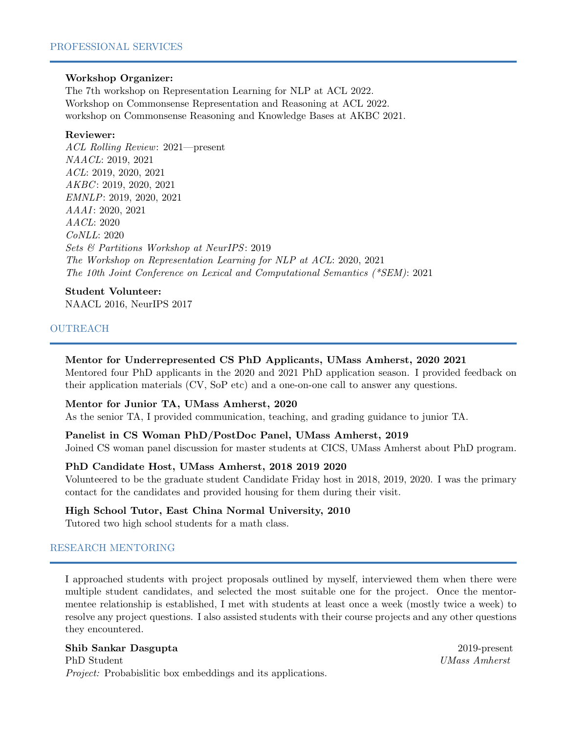#### Workshop Organizer:

[The 7th workshop on Representation Learning for NLP at ACL 2022.](https://sites.google.com/view/repl4nlp2022/home?authuser=0) [Workshop on Commonsense Representation and Reasoning at ACL 2022.](https://csrr-workshop.github.io/) [workshop on Commonsense Reasoning and Knowledge Bases at AKBC 2021.](https://akbc-cskb.github.io/)

## Reviewer:

ACL Rolling Review: 2021—present NAACL: 2019, 2021 ACL: 2019, 2020, 2021  $AKBC: 2019, 2020, 2021$ EMNLP: 2019, 2020, 2021 AAAI: 2020, 2021 AACL: 2020 CoNLL: 2020 Sets & Partitions Workshop at NeurIPS: 2019 The Workshop on Representation Learning for NLP at ACL: 2020, 2021 The 10th Joint Conference on Lexical and Computational Semantics (\*SEM): 2021

## Student Volunteer:

NAACL 2016, NeurIPS 2017

## OUTREACH

## Mentor for Underrepresented CS PhD Applicants, UMass Amherst, 2020 2021

Mentored four PhD applicants in the 2020 and 2021 PhD application season. I provided feedback on their application materials (CV, SoP etc) and a one-on-one call to answer any questions.

#### Mentor for Junior TA, UMass Amherst, 2020

As the senior TA, I provided communication, teaching, and grading guidance to junior TA.

#### Panelist in CS Woman PhD/PostDoc Panel, UMass Amherst, 2019

Joined CS woman panel discussion for master students at CICS, UMass Amherst about PhD program.

#### PhD Candidate Host, UMass Amherst, 2018 2019 2020

Volunteered to be the graduate student Candidate Friday host in 2018, 2019, 2020. I was the primary contact for the candidates and provided housing for them during their visit.

#### High School Tutor, East China Normal University, 2010

Tutored two high school students for a math class.

## RESEARCH MENTORING

I approached students with project proposals outlined by myself, interviewed them when there were multiple student candidates, and selected the most suitable one for the project. Once the mentormentee relationship is established, I met with students at least once a week (mostly twice a week) to resolve any project questions. I also assisted students with their course projects and any other questions they encountered.

#### Shib Sankar Dasgupta 2019-present

PhD Student UMass Amherst Project: Probabislitic box embeddings and its applications.